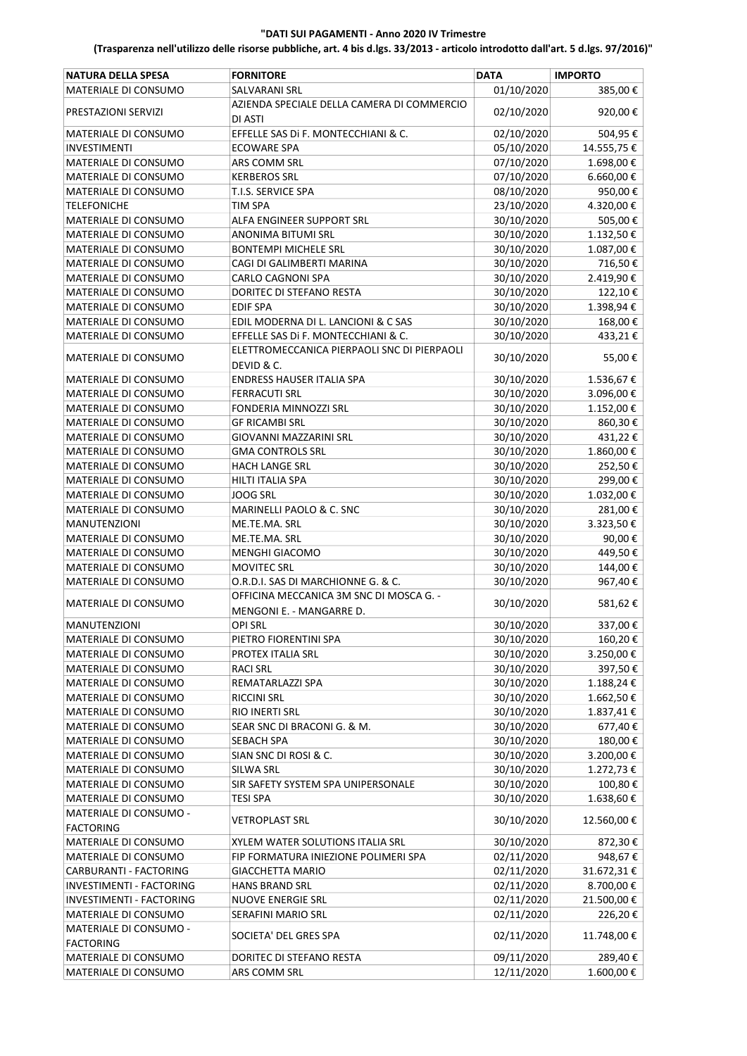# "DATI SUI PAGAMENTI ‐ Anno 2020 IV Trimestre

# (Trasparenza nell'utilizzo delle risorse pubbliche, art. 4 bis d.lgs. 33/2013 ‐ articolo introdotto dall'art. 5 d.lgs. 97/2016)"

| <b>NATURA DELLA SPESA</b>   | <b>FORNITORE</b>                            | <b>DATA</b> | <b>IMPORTO</b> |
|-----------------------------|---------------------------------------------|-------------|----------------|
| MATERIALE DI CONSUMO        | SALVARANI SRL                               | 01/10/2020  | 385,00€        |
|                             | AZIENDA SPECIALE DELLA CAMERA DI COMMERCIO  |             |                |
| PRESTAZIONI SERVIZI         | DI ASTI                                     | 02/10/2020  | 920,00€        |
| MATERIALE DI CONSUMO        | EFFELLE SAS DI F. MONTECCHIANI & C.         | 02/10/2020  | 504,95€        |
| INVESTIMENTI                | <b>ECOWARE SPA</b>                          | 05/10/2020  | 14.555,75€     |
| MATERIALE DI CONSUMO        | ARS COMM SRL                                | 07/10/2020  | 1.698,00€      |
| MATERIALE DI CONSUMO        | <b>KERBEROS SRL</b>                         | 07/10/2020  | 6.660,00 €     |
| MATERIALE DI CONSUMO        | T.I.S. SERVICE SPA                          | 08/10/2020  | 950,00€        |
| <b>TELEFONICHE</b>          | TIM SPA                                     | 23/10/2020  | 4.320,00€      |
| MATERIALE DI CONSUMO        | ALFA ENGINEER SUPPORT SRL                   | 30/10/2020  | 505,00€        |
| MATERIALE DI CONSUMO        | ANONIMA BITUMI SRL                          | 30/10/2020  | 1.132,50€      |
| MATERIALE DI CONSUMO        | <b>BONTEMPI MICHELE SRL</b>                 | 30/10/2020  | 1.087,00€      |
| MATERIALE DI CONSUMO        | CAGI DI GALIMBERTI MARINA                   | 30/10/2020  | 716,50€        |
| MATERIALE DI CONSUMO        | <b>CARLO CAGNONI SPA</b>                    | 30/10/2020  | 2.419,90€      |
| MATERIALE DI CONSUMO        | DORITEC DI STEFANO RESTA                    | 30/10/2020  | 122,10€        |
| MATERIALE DI CONSUMO        | <b>EDIF SPA</b>                             | 30/10/2020  | 1.398,94€      |
| MATERIALE DI CONSUMO        | EDIL MODERNA DI L. LANCIONI & C SAS         | 30/10/2020  | 168,00€        |
| MATERIALE DI CONSUMO        | EFFELLE SAS Di F. MONTECCHIANI & C.         | 30/10/2020  | 433,21€        |
|                             | ELETTROMECCANICA PIERPAOLI SNC DI PIERPAOLI |             |                |
| MATERIALE DI CONSUMO        | DEVID & C.                                  | 30/10/2020  | 55,00€         |
| MATERIALE DI CONSUMO        | <b>ENDRESS HAUSER ITALIA SPA</b>            | 30/10/2020  | 1.536,67€      |
| MATERIALE DI CONSUMO        | <b>FERRACUTI SRL</b>                        | 30/10/2020  | 3.096,00€      |
| MATERIALE DI CONSUMO        | FONDERIA MINNOZZI SRL                       | 30/10/2020  | 1.152,00€      |
| MATERIALE DI CONSUMO        | <b>GF RICAMBI SRL</b>                       | 30/10/2020  | 860,30€        |
| MATERIALE DI CONSUMO        | GIOVANNI MAZZARINI SRL                      | 30/10/2020  | 431,22€        |
| MATERIALE DI CONSUMO        | <b>GMA CONTROLS SRL</b>                     | 30/10/2020  | 1.860,00€      |
| MATERIALE DI CONSUMO        | <b>HACH LANGE SRL</b>                       | 30/10/2020  | 252,50€        |
|                             |                                             |             |                |
| MATERIALE DI CONSUMO        | HILTI ITALIA SPA                            | 30/10/2020  | 299,00€        |
| MATERIALE DI CONSUMO        | JOOG SRL                                    | 30/10/2020  | 1.032,00€      |
| MATERIALE DI CONSUMO        | MARINELLI PAOLO & C. SNC                    | 30/10/2020  | 281,00€        |
| <b>MANUTENZIONI</b>         | ME.TE.MA. SRL                               | 30/10/2020  | 3.323,50€      |
| MATERIALE DI CONSUMO        | ME.TE.MA. SRL                               | 30/10/2020  | 90,00€         |
| MATERIALE DI CONSUMO        | <b>MENGHI GIACOMO</b>                       | 30/10/2020  | 449,50€        |
| MATERIALE DI CONSUMO        | <b>MOVITEC SRL</b>                          | 30/10/2020  | 144,00€        |
| MATERIALE DI CONSUMO        | O.R.D.I. SAS DI MARCHIONNE G. & C.          | 30/10/2020  | 967,40€        |
| <b>MATERIALE DI CONSUMO</b> | OFFICINA MECCANICA 3M SNC DI MOSCA G. -     | 30/10/2020  | 581,62€        |
|                             | MENGONI E. - MANGARRE D.                    |             |                |
| <b>MANUTENZIONI</b>         | <b>OPI SRL</b>                              | 30/10/2020  | 337,00€        |
| MATERIALE DI CONSUMO        | PIETRO FIORENTINI SPA                       | 30/10/2020  | 160,20€        |
| MATERIALE DI CONSUMO        | PROTEX ITALIA SRL                           | 30/10/2020  | 3.250,00€      |
| MATERIALE DI CONSUMO        | <b>RACI SRL</b>                             | 30/10/2020  | 397,50€        |
| MATERIALE DI CONSUMO        | REMATARLAZZI SPA                            | 30/10/2020  | $1.188,24 \in$ |
| MATERIALE DI CONSUMO        | <b>RICCINI SRL</b>                          | 30/10/2020  | 1.662,50€      |
| MATERIALE DI CONSUMO        | RIO INERTI SRL                              | 30/10/2020  | 1.837,41€      |
| MATERIALE DI CONSUMO        | SEAR SNC DI BRACONI G. & M.                 | 30/10/2020  | 677,40€        |
| MATERIALE DI CONSUMO        | <b>SEBACH SPA</b>                           | 30/10/2020  | 180,00€        |
| MATERIALE DI CONSUMO        | SIAN SNC DI ROSI & C.                       | 30/10/2020  | 3.200,00€      |
| MATERIALE DI CONSUMO        | SILWA SRL                                   | 30/10/2020  | 1.272,73€      |
| MATERIALE DI CONSUMO        | SIR SAFETY SYSTEM SPA UNIPERSONALE          | 30/10/2020  | 100,80€        |
| MATERIALE DI CONSUMO        | TESI SPA                                    | 30/10/2020  | 1.638,60€      |
| MATERIALE DI CONSUMO -      | <b>VETROPLAST SRL</b>                       | 30/10/2020  | 12.560,00€     |
| <b>FACTORING</b>            |                                             |             |                |
| MATERIALE DI CONSUMO        | XYLEM WATER SOLUTIONS ITALIA SRL            | 30/10/2020  | 872,30€        |
| MATERIALE DI CONSUMO        | FIP FORMATURA INIEZIONE POLIMERI SPA        | 02/11/2020  | 948,67€        |
| CARBURANTI - FACTORING      | GIACCHETTA MARIO                            | 02/11/2020  | 31.672,31€     |
| INVESTIMENTI - FACTORING    | HANS BRAND SRL                              | 02/11/2020  | 8.700,00€      |
| INVESTIMENTI - FACTORING    | <b>NUOVE ENERGIE SRL</b>                    | 02/11/2020  | 21.500,00€     |
| MATERIALE DI CONSUMO        | SERAFINI MARIO SRL                          | 02/11/2020  | 226,20€        |
| MATERIALE DI CONSUMO -      | SOCIETA' DEL GRES SPA                       | 02/11/2020  | 11.748,00€     |
| <b>FACTORING</b>            |                                             |             |                |
| MATERIALE DI CONSUMO        | DORITEC DI STEFANO RESTA                    | 09/11/2020  | 289,40€        |
| MATERIALE DI CONSUMO        | ARS COMM SRL                                | 12/11/2020  | 1.600,00€      |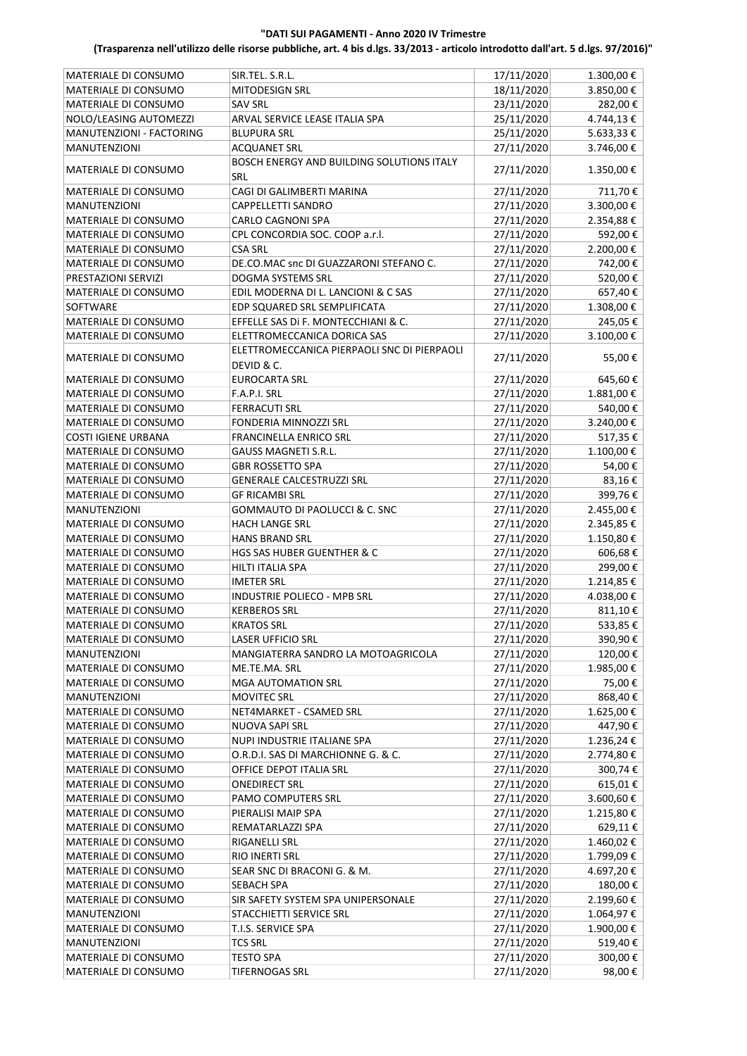# "DATI SUI PAGAMENTI ‐ Anno 2020 IV Trimestre

# (Trasparenza nell'utilizzo delle risorse pubbliche, art. 4 bis d.lgs. 33/2013 ‐ articolo introdotto dall'art. 5 d.lgs. 97/2016)"

| <b>MATERIALE DI CONSUMO</b>                         | SIR.TEL. S.R.L.                             | 17/11/2020 | 1.300,00€ |
|-----------------------------------------------------|---------------------------------------------|------------|-----------|
| MATERIALE DI CONSUMO                                | MITODESIGN SRL                              | 18/11/2020 | 3.850,00€ |
| MATERIALE DI CONSUMO                                | <b>SAV SRL</b>                              | 23/11/2020 | 282,00€   |
| NOLO/LEASING AUTOMEZZI                              | ARVAL SERVICE LEASE ITALIA SPA              | 25/11/2020 | 4.744,13€ |
| MANUTENZIONI - FACTORING                            | <b>BLUPURA SRL</b>                          | 25/11/2020 | 5.633,33€ |
| <b>MANUTENZIONI</b>                                 | <b>ACQUANET SRL</b>                         | 27/11/2020 | 3.746,00€ |
| MATERIALE DI CONSUMO                                | BOSCH ENERGY AND BUILDING SOLUTIONS ITALY   | 27/11/2020 | 1.350,00€ |
|                                                     | SRL                                         |            |           |
| MATERIALE DI CONSUMO                                | CAGI DI GALIMBERTI MARINA                   | 27/11/2020 | 711,70€   |
| <b>MANUTENZIONI</b>                                 | CAPPELLETTI SANDRO                          | 27/11/2020 | 3.300,00€ |
| MATERIALE DI CONSUMO                                | CARLO CAGNONI SPA                           | 27/11/2020 | 2.354,88€ |
| MATERIALE DI CONSUMO                                | CPL CONCORDIA SOC. COOP a.r.l.              | 27/11/2020 | 592,00€   |
| MATERIALE DI CONSUMO                                | <b>CSA SRL</b>                              | 27/11/2020 | 2.200,00€ |
| MATERIALE DI CONSUMO                                | DE.CO.MAC snc DI GUAZZARONI STEFANO C.      | 27/11/2020 | 742,00€   |
| PRESTAZIONI SERVIZI                                 | DOGMA SYSTEMS SRL                           | 27/11/2020 | 520,00€   |
| MATERIALE DI CONSUMO                                | EDIL MODERNA DI L. LANCIONI & C SAS         | 27/11/2020 | 657,40€   |
| SOFTWARE                                            | EDP SQUARED SRL SEMPLIFICATA                | 27/11/2020 | 1.308,00€ |
| MATERIALE DI CONSUMO                                | EFFELLE SAS Di F. MONTECCHIANI & C.         | 27/11/2020 | 245,05€   |
| MATERIALE DI CONSUMO                                | ELETTROMECCANICA DORICA SAS                 | 27/11/2020 | 3.100,00€ |
| MATERIALE DI CONSUMO                                | ELETTROMECCANICA PIERPAOLI SNC DI PIERPAOLI | 27/11/2020 | 55,00€    |
|                                                     | DEVID & C.                                  |            |           |
| MATERIALE DI CONSUMO                                | EUROCARTA SRL                               | 27/11/2020 | 645,60€   |
| MATERIALE DI CONSUMO                                | F.A.P.I. SRL                                | 27/11/2020 | 1.881,00€ |
| MATERIALE DI CONSUMO                                | <b>FERRACUTI SRL</b>                        | 27/11/2020 | 540,00€   |
| MATERIALE DI CONSUMO                                | FONDERIA MINNOZZI SRL                       | 27/11/2020 | 3.240,00€ |
| <b>COSTI IGIENE URBANA</b>                          | <b>FRANCINELLA ENRICO SRL</b>               | 27/11/2020 | 517,35€   |
| MATERIALE DI CONSUMO                                | <b>GAUSS MAGNETI S.R.L.</b>                 | 27/11/2020 | 1.100,00€ |
| MATERIALE DI CONSUMO                                | <b>GBR ROSSETTO SPA</b>                     | 27/11/2020 | 54,00€    |
| MATERIALE DI CONSUMO                                | <b>GENERALE CALCESTRUZZI SRL</b>            | 27/11/2020 | 83,16€    |
| MATERIALE DI CONSUMO                                | <b>GF RICAMBI SRL</b>                       | 27/11/2020 | 399,76€   |
| <b>MANUTENZIONI</b>                                 | GOMMAUTO DI PAOLUCCI & C. SNC               | 27/11/2020 | 2.455,00€ |
| MATERIALE DI CONSUMO                                | <b>HACH LANGE SRL</b>                       | 27/11/2020 | 2.345,85€ |
| MATERIALE DI CONSUMO                                | <b>HANS BRAND SRL</b>                       | 27/11/2020 | 1.150,80€ |
| MATERIALE DI CONSUMO                                | <b>HGS SAS HUBER GUENTHER &amp; C</b>       | 27/11/2020 | 606,68€   |
| MATERIALE DI CONSUMO                                | <b>HILTI ITALIA SPA</b>                     | 27/11/2020 | 299,00€   |
|                                                     | <b>IMETER SRL</b>                           |            |           |
| MATERIALE DI CONSUMO<br><b>MATERIALE DI CONSUMO</b> | <b>INDUSTRIE POLIECO - MPB SRL</b>          | 27/11/2020 | 1.214,85€ |
|                                                     |                                             | 27/11/2020 | 4.038,00€ |
| MATERIALE DI CONSUMO                                | <b>KERBEROS SRL</b>                         | 27/11/2020 | 811,10€   |
| MATERIALE DI CONSUMO                                | <b>KRATOS SRL</b>                           | 27/11/2020 | 533,85€   |
| MATERIALE DI CONSUMO                                | <b>LASER UFFICIO SRL</b>                    | 27/11/2020 | 390,90€   |
| <b>MANUTENZIONI</b>                                 | MANGIATERRA SANDRO LA MOTOAGRICOLA          | 27/11/2020 | 120,00€   |
| MATERIALE DI CONSUMO                                | ME.TE.MA. SRL                               | 27/11/2020 | 1.985,00€ |
| MATERIALE DI CONSUMO                                | <b>MGA AUTOMATION SRL</b>                   | 27/11/2020 | 75,00€    |
| <b>MANUTENZIONI</b>                                 | <b>MOVITEC SRL</b>                          | 27/11/2020 | 868,40€   |
| MATERIALE DI CONSUMO                                | NET4MARKET - CSAMED SRL                     | 27/11/2020 | 1.625,00€ |
| MATERIALE DI CONSUMO                                | NUOVA SAPI SRL                              | 27/11/2020 | 447,90€   |
| MATERIALE DI CONSUMO                                | NUPI INDUSTRIE ITALIANE SPA                 | 27/11/2020 | 1.236,24€ |
| MATERIALE DI CONSUMO                                | O.R.D.I. SAS DI MARCHIONNE G. & C.          | 27/11/2020 | 2.774,80€ |
| MATERIALE DI CONSUMO                                | OFFICE DEPOT ITALIA SRL                     | 27/11/2020 | 300,74€   |
| MATERIALE DI CONSUMO                                | <b>ONEDIRECT SRL</b>                        | 27/11/2020 | 615,01€   |
| MATERIALE DI CONSUMO                                | PAMO COMPUTERS SRL                          | 27/11/2020 | 3.600,60€ |
| MATERIALE DI CONSUMO                                | PIERALISI MAIP SPA                          | 27/11/2020 | 1.215,80€ |
| MATERIALE DI CONSUMO                                | REMATARLAZZI SPA                            | 27/11/2020 | 629,11€   |
| MATERIALE DI CONSUMO                                | RIGANELLI SRL                               | 27/11/2020 | 1.460,02€ |
| MATERIALE DI CONSUMO                                | RIO INERTI SRL                              | 27/11/2020 | 1.799,09€ |
| MATERIALE DI CONSUMO                                | SEAR SNC DI BRACONI G. & M.                 | 27/11/2020 | 4.697,20€ |
| MATERIALE DI CONSUMO                                | SEBACH SPA                                  | 27/11/2020 | 180,00€   |
| MATERIALE DI CONSUMO                                | SIR SAFETY SYSTEM SPA UNIPERSONALE          | 27/11/2020 | 2.199,60€ |
| <b>MANUTENZIONI</b>                                 | STACCHIETTI SERVICE SRL                     | 27/11/2020 | 1.064,97€ |
| MATERIALE DI CONSUMO                                | T.I.S. SERVICE SPA                          | 27/11/2020 | 1.900,00€ |
| <b>MANUTENZIONI</b>                                 | <b>TCS SRL</b>                              | 27/11/2020 | 519,40€   |
| MATERIALE DI CONSUMO                                | TESTO SPA                                   | 27/11/2020 | 300,00€   |
| MATERIALE DI CONSUMO                                | <b>TIFERNOGAS SRL</b>                       | 27/11/2020 | 98,00€    |
|                                                     |                                             |            |           |